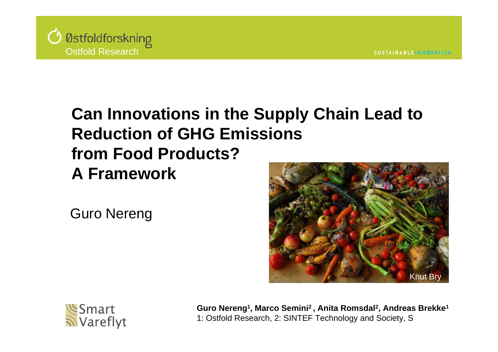

### **Can Innovations in the Supply Chain Lead to Reduction of GHG Emissions from Food Products? A Framework**

Guro Nereng





**Guro Nereng1, Marco Semini2 , Anita Romsdal2, Andreas Brekke1** 1: Ostfold Research, 2: SINTEF Technology and Society, S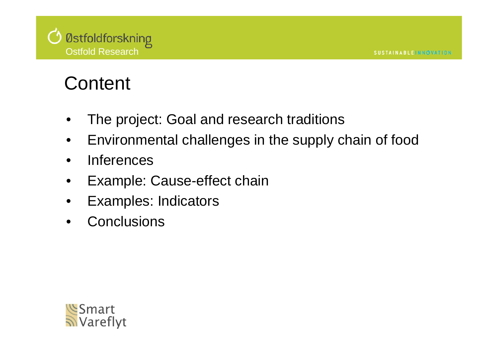

## **Content**

- •The project: Goal and research traditions
- $\bullet$ Environmental challenges in the supply chain of food
- $\bullet$ **Inferences**
- $\bullet$ Example: Cause-effect chain
- $\bullet$ Examples: Indicators
- •**Conclusions**

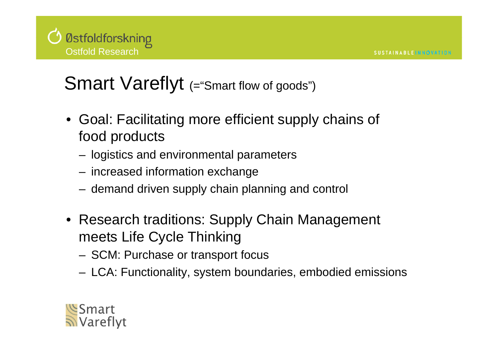## Smart Vareflyt (="Smart flow of goods")

- Goal: Facilitating more efficient supply chains of food products
	- logistics and environmental parameters
	- increased information exchange
	- demand driven supply chain planning and control
- Research traditions: Supply Chain Management meets Life Cycle Thinking
	- SCM: Purchase or transport focus
	- LCA: Functionality, system boundaries, embodied emissions

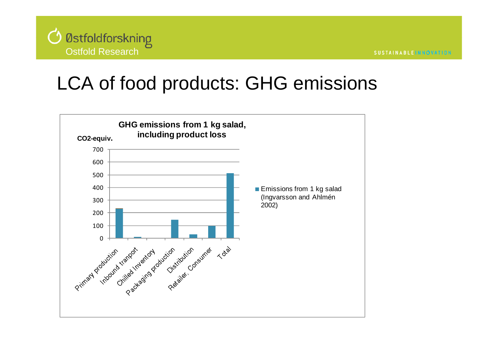

### LCA of food products: GHG emissions

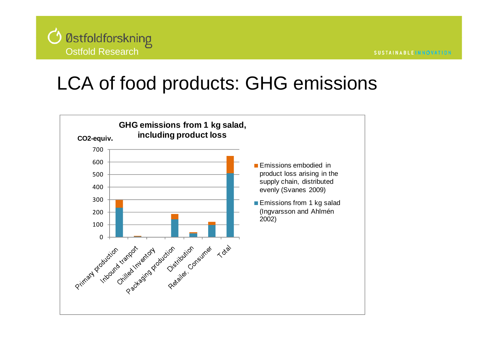

### LCA of food products: GHG emissions

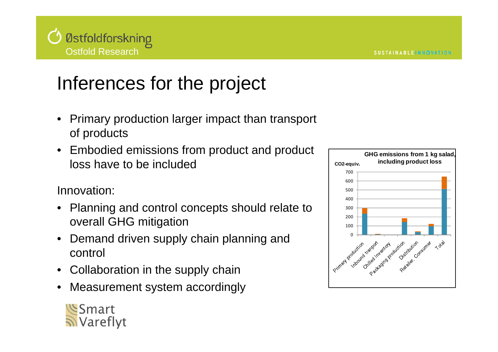

# Inferences for the project

- • Primary production larger impact than transport of products
- Embodied emissions from product and product loss have to be included

Innovation:

- • Planning and control concepts should relate to overall GHG mitigation
- • Demand driven supply chain planning and control
- •Collaboration in the supply chain
- •Measurement system accordingly



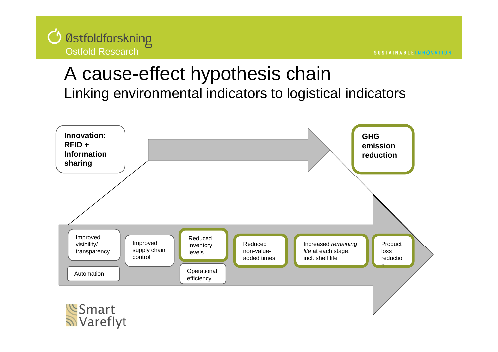

### A cause-effect hypothesis chain Linking environmental indicators to logistical indicators

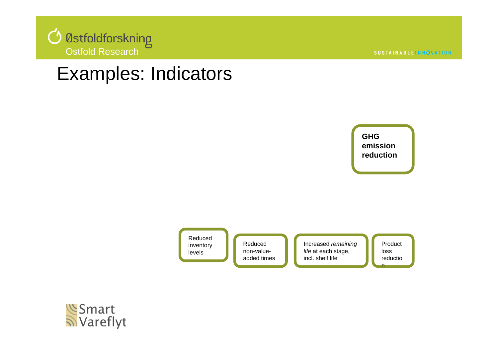

### Examples: Indicators



Reduced inventory levels

Reduced non-valueadded times

Increased *remaining life* at each stage, incl. shelf life

Product lossreductio n

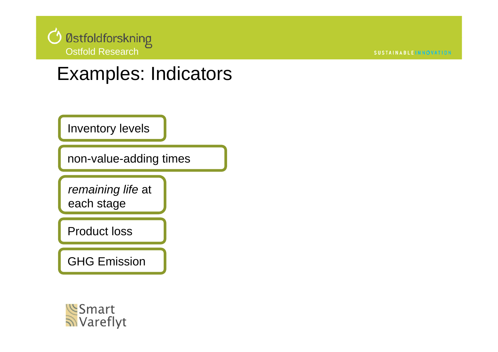

**SUSTAINABLEINNÓVATION** 

### Examples: Indicators

Inventory levels

non-value-adding times

*remaining life* at each stage

Product loss

GHG Emission

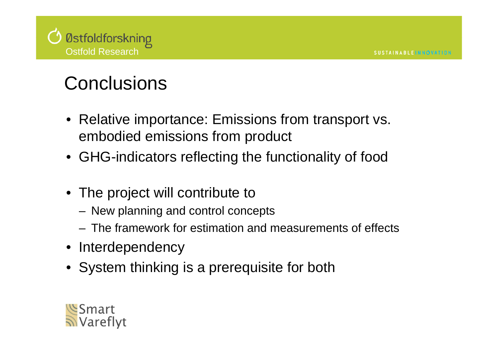

# **Conclusions**

- Relative importance: Emissions from transport vs. embodied emissions from product
- GHG-indicators reflecting the functionality of food
- The project will contribute to
	- New planning and control concepts
	- The framework for estimation and measurements of effects
- Interdependency
- System thinking is a prerequisite for both